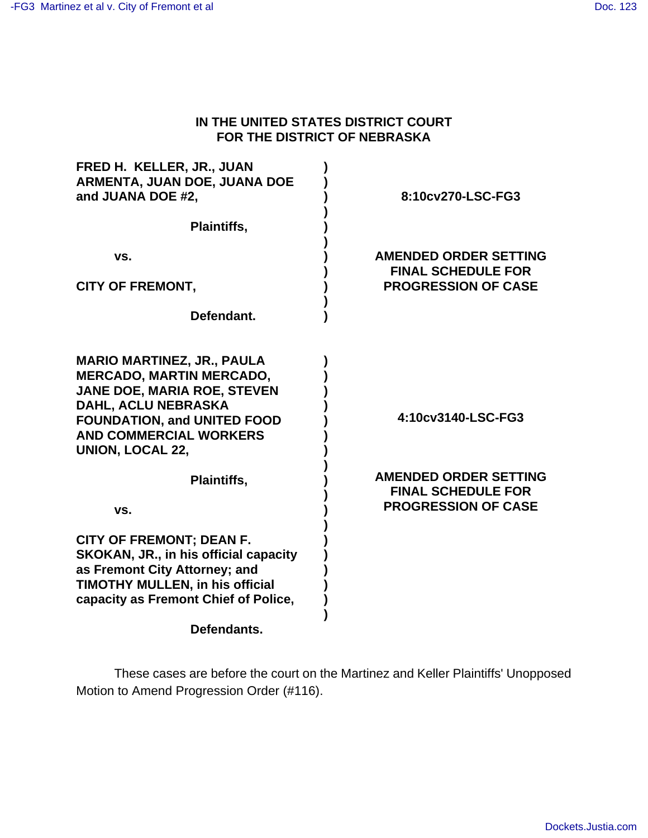#### **IN THE UNITED STATES DISTRICT COURT FOR THE DISTRICT OF NEBRASKA**

| FRED H. KELLER, JR., JUAN<br>ARMENTA, JUAN DOE, JUANA DOE<br>and JUANA DOE #2,                                                                                                                                                      | 8:10cv270-LSC-FG3                                                                       |
|-------------------------------------------------------------------------------------------------------------------------------------------------------------------------------------------------------------------------------------|-----------------------------------------------------------------------------------------|
| Plaintiffs,                                                                                                                                                                                                                         |                                                                                         |
| VS.                                                                                                                                                                                                                                 | <b>AMENDED ORDER SETTING</b><br><b>FINAL SCHEDULE FOR</b>                               |
| <b>CITY OF FREMONT,</b>                                                                                                                                                                                                             | <b>PROGRESSION OF CASE</b>                                                              |
| Defendant.                                                                                                                                                                                                                          |                                                                                         |
| <b>MARIO MARTINEZ, JR., PAULA</b><br><b>MERCADO, MARTIN MERCADO,</b><br><b>JANE DOE, MARIA ROE, STEVEN</b><br>DAHL, ACLU NEBRASKA<br><b>FOUNDATION, and UNITED FOOD</b><br><b>AND COMMERCIAL WORKERS</b><br><b>UNION, LOCAL 22,</b> | 4:10cv3140-LSC-FG3                                                                      |
| Plaintiffs,<br>VS.                                                                                                                                                                                                                  | <b>AMENDED ORDER SETTING</b><br><b>FINAL SCHEDULE FOR</b><br><b>PROGRESSION OF CASE</b> |
| <b>CITY OF FREMONT; DEAN F.</b><br><b>SKOKAN, JR., in his official capacity</b><br>as Fremont City Attorney; and<br><b>TIMOTHY MULLEN, in his official</b><br>capacity as Fremont Chief of Police,                                  |                                                                                         |
| Defendants.                                                                                                                                                                                                                         |                                                                                         |

These cases are before the court on the Martinez and Keller Plaintiffs' Unopposed Motion to Amend Progression Order (#116).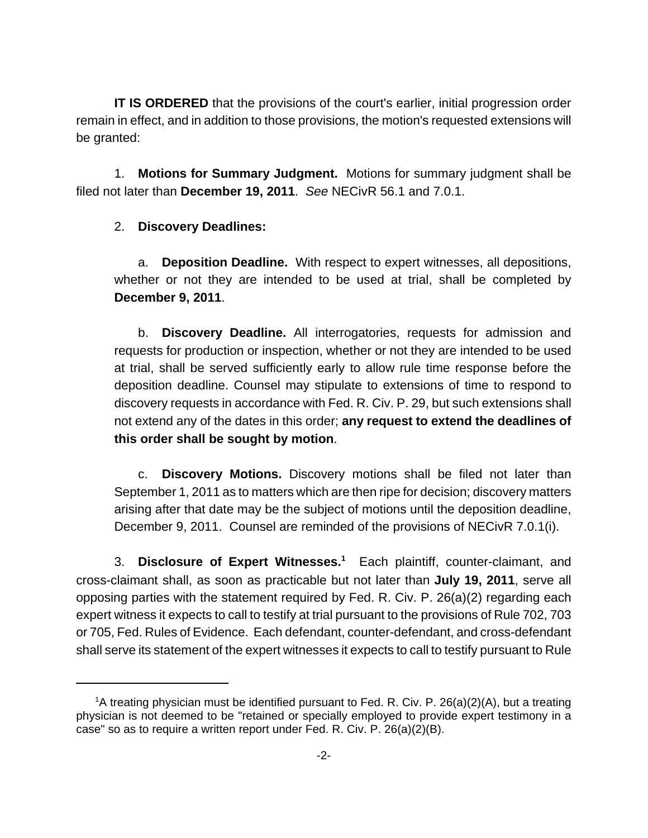**IT IS ORDERED** that the provisions of the court's earlier, initial progression order remain in effect, and in addition to those provisions, the motion's requested extensions will be granted:

1. **Motions for Summary Judgment.** Motions for summary judgment shall be filed not later than **December 19, 2011**. See NECivR 56.1 and 7.0.1.

# 2. **Discovery Deadlines:**

a. **Deposition Deadline.** With respect to expert witnesses, all depositions, whether or not they are intended to be used at trial, shall be completed by **December 9, 2011**.

b. **Discovery Deadline.** All interrogatories, requests for admission and requests for production or inspection, whether or not they are intended to be used at trial, shall be served sufficiently early to allow rule time response before the deposition deadline. Counsel may stipulate to extensions of time to respond to discovery requests in accordance with Fed. R. Civ. P. 29, but such extensions shall not extend any of the dates in this order; **any request to extend the deadlines of this order shall be sought by motion**.

c. **Discovery Motions.** Discovery motions shall be filed not later than September 1, 2011 as to matters which are then ripe for decision; discovery matters arising after that date may be the subject of motions until the deposition deadline, December 9, 2011. Counsel are reminded of the provisions of NECivR 7.0.1(i).

3. **Disclosure of Expert Witnesses.<sup>1</sup>** Each plaintiff, counter-claimant, and cross-claimant shall, as soon as practicable but not later than **July 19, 2011**, serve all opposing parties with the statement required by Fed. R. Civ. P. 26(a)(2) regarding each expert witness it expects to call to testify at trial pursuant to the provisions of Rule 702, 703 or 705, Fed. Rules of Evidence. Each defendant, counter-defendant, and cross-defendant shall serve its statement of the expert witnesses it expects to call to testify pursuant to Rule

<sup>&</sup>lt;sup>1</sup>A treating physician must be identified pursuant to Fed. R. Civ. P. 26(a)(2)(A), but a treating physician is not deemed to be "retained or specially employed to provide expert testimony in a case" so as to require a written report under Fed. R. Civ. P. 26(a)(2)(B).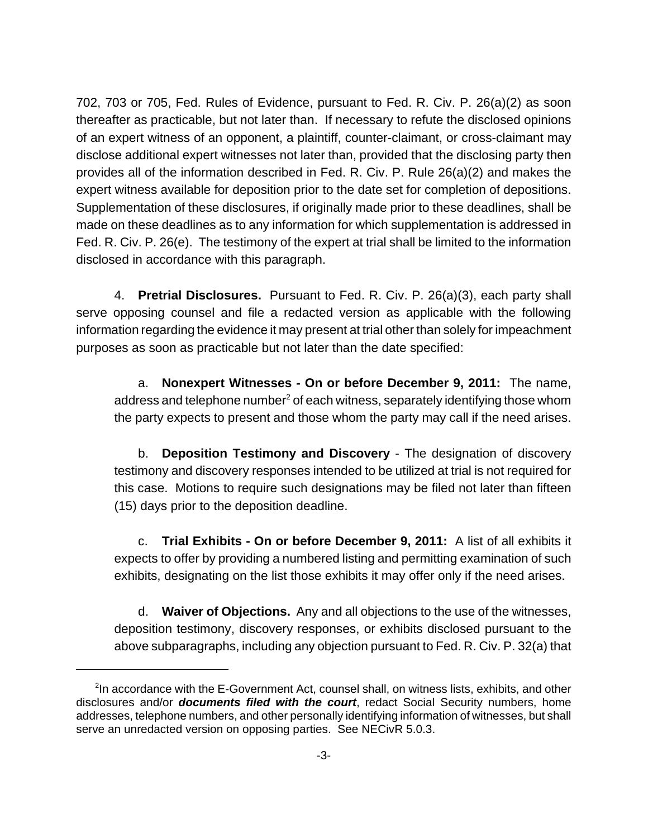702, 703 or 705, Fed. Rules of Evidence, pursuant to Fed. R. Civ. P. 26(a)(2) as soon thereafter as practicable, but not later than. If necessary to refute the disclosed opinions of an expert witness of an opponent, a plaintiff, counter-claimant, or cross-claimant may disclose additional expert witnesses not later than, provided that the disclosing party then provides all of the information described in Fed. R. Civ. P. Rule 26(a)(2) and makes the expert witness available for deposition prior to the date set for completion of depositions. Supplementation of these disclosures, if originally made prior to these deadlines, shall be made on these deadlines as to any information for which supplementation is addressed in Fed. R. Civ. P. 26(e). The testimony of the expert at trial shall be limited to the information disclosed in accordance with this paragraph.

4. **Pretrial Disclosures.** Pursuant to Fed. R. Civ. P. 26(a)(3), each party shall serve opposing counsel and file a redacted version as applicable with the following information regarding the evidence it may present at trial other than solely for impeachment purposes as soon as practicable but not later than the date specified:

a. **Nonexpert Witnesses - On or before December 9, 2011:** The name, address and telephone number $^2$  of each witness, separately identifying those whom the party expects to present and those whom the party may call if the need arises.

b. **Deposition Testimony and Discovery** - The designation of discovery testimony and discovery responses intended to be utilized at trial is not required for this case. Motions to require such designations may be filed not later than fifteen (15) days prior to the deposition deadline.

c. **Trial Exhibits - On or before December 9, 2011:** A list of all exhibits it expects to offer by providing a numbered listing and permitting examination of such exhibits, designating on the list those exhibits it may offer only if the need arises.

d. **Waiver of Objections.** Any and all objections to the use of the witnesses, deposition testimony, discovery responses, or exhibits disclosed pursuant to the above subparagraphs, including any objection pursuant to Fed. R. Civ. P. 32(a) that

<sup>&</sup>lt;sup>2</sup>In accordance with the E-Government Act, counsel shall, on witness lists, exhibits, and other disclosures and/or **documents filed with the court**, redact Social Security numbers, home addresses, telephone numbers, and other personally identifying information of witnesses, but shall serve an unredacted version on opposing parties. See NECivR 5.0.3.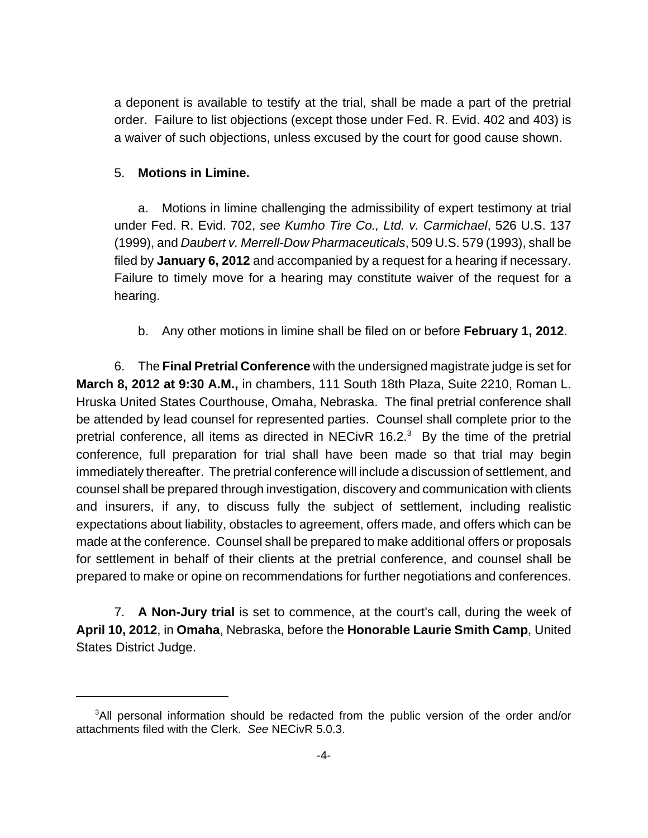a deponent is available to testify at the trial, shall be made a part of the pretrial order. Failure to list objections (except those under Fed. R. Evid. 402 and 403) is a waiver of such objections, unless excused by the court for good cause shown.

## 5. **Motions in Limine.**

a. Motions in limine challenging the admissibility of expert testimony at trial under Fed. R. Evid. 702, see Kumho Tire Co., Ltd. v. Carmichael, 526 U.S. 137 (1999), and Daubert v. Merrell-Dow Pharmaceuticals, 509 U.S. 579 (1993), shall be filed by **January 6, 2012** and accompanied by a request for a hearing if necessary. Failure to timely move for a hearing may constitute waiver of the request for a hearing.

b. Any other motions in limine shall be filed on or before **February 1, 2012**.

6. The **Final Pretrial Conference** with the undersigned magistrate judge is set for **March 8, 2012 at 9:30 A.M.,** in chambers, 111 South 18th Plaza, Suite 2210, Roman L. Hruska United States Courthouse, Omaha, Nebraska. The final pretrial conference shall be attended by lead counsel for represented parties. Counsel shall complete prior to the pretrial conference, all items as directed in NECivR 16.2. $3$  By the time of the pretrial conference, full preparation for trial shall have been made so that trial may begin immediately thereafter. The pretrial conference will include a discussion of settlement, and counsel shall be prepared through investigation, discovery and communication with clients and insurers, if any, to discuss fully the subject of settlement, including realistic expectations about liability, obstacles to agreement, offers made, and offers which can be made at the conference. Counsel shall be prepared to make additional offers or proposals for settlement in behalf of their clients at the pretrial conference, and counsel shall be prepared to make or opine on recommendations for further negotiations and conferences.

7. **A Non-Jury trial** is set to commence, at the court's call, during the week of **April 10, 2012**, in **Omaha**, Nebraska, before the **Honorable Laurie Smith Camp**, United States District Judge.

<sup>&</sup>lt;sup>3</sup>All personal information should be redacted from the public version of the order and/or attachments filed with the Clerk. See NECivR 5.0.3.